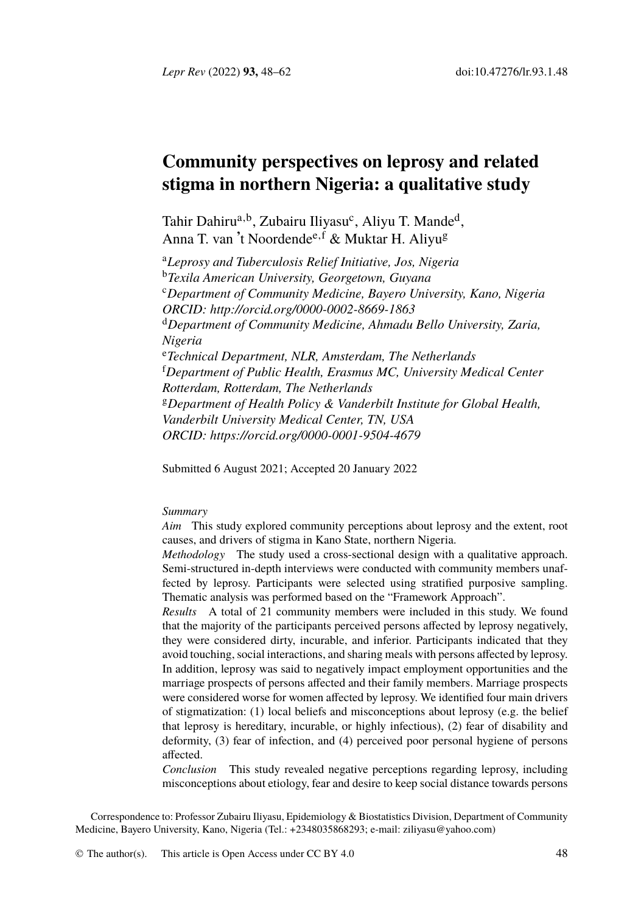*Lepr Rev* (2022[\)](#page-0-0) **[93](#page-0-1),** 48–62 [d](#page-0-2)oi:10.47276/lr.93.1.48

# <span id="page-0-2"></span><span id="page-0-1"></span><span id="page-0-0"></span>**Com[munity perspectives on lepr](http://orcid.org/0000-0002-8669-1863)osy and related stigma in northern Nigeria: a qualitative study**

Tahir Dahiru<sup>a, b</sup>, Zubairu Iliyasu<sup>c</sup>, Aliyu T. Mande<sup>d</sup>, Anna T. van 't Noordende<sup>e, f</sup> & Muktar H. Aliyu<sup>g</sup>

<sup>a</sup>*Leprosy and Tuberculosis Relief Initiative, Jos, Nigeria* <sup>b</sup>*Texila American University, Georgetown, Guyana* <sup>c</sup>*Depart[ment of Community Medicine, Bayero Un](https://orcid.org/0000-0001-9504-4679)iversity, Kano, Nigeria ORCID: http://orcid.org/0000-0002-8669-1863* <sup>d</sup>*Department of Community Medicine, Ahmadu Bello University, Zaria, Nigeria* <sup>e</sup>*Technical Department, NLR, Amsterdam, The Netherlands* <sup>f</sup>*Department of Public Health, Erasmus MC, University Medical Center Rotterdam, Rotterdam, The Netherlands* <sup>g</sup>*Department of Health Policy & Vanderbilt Institute for Global Health, Vanderbilt University Medical Center, TN, USA ORCID: https://orcid.org/0000-0001-9504-4679*

Submitted 6 August 2021; Accepted 20 January 2022

#### *Summary*

*Aim* This study explored community perceptions about leprosy and the extent, root causes, and drivers of stigma in Kano State, northern Nigeria.

*Methodology* The study used a cross-sectional design with a qualitative approach. Semi-structured in-depth interviews were conducted with community members unaffected by leprosy. Participants were selected using stratified purposive sampling. Thematic analysis was performed based on the "Framework Approach".

*Results* A total of 21 community members were included in this study. We found that the majority of the participants perceived persons affected by leprosy negatively, they were considered dirty, incurable, and inferior. Participants indicated that they avoid touching, social interactions, and sharing meals with persons affected by leprosy. In addition, leprosy was said to negatively impact employment opportunities and the marriage prospects of persons affected and their fa[mily members. Mar](mailto:ziliyasu@yahoo.com)riage prospects were considered worse for women affected by leprosy. We identified four main drivers of stigmatization: (1) local be[liefs and m](http://creativecommons.org/licenses/by/4.0/)isconceptions about leprosy (e.g. the belief that leprosy is hereditary, incurable, or highly infectious), (2) fear of disability and deformity, (3) fear of infection, and (4) perceived poor personal hygiene of persons affected.

*Conclusion* This study revealed negative perceptions regarding leprosy, including misconceptions about etiology, fear and desire to keep social distance towards persons

Correspondence to: Professor Zubairu Iliyasu, Epidemiology & Biostatistics Division, Department of Community Medicine, Bayero University, Kano, Nigeria (Tel.: +2348035868293; e-mail: ziliyasu@yahoo.com)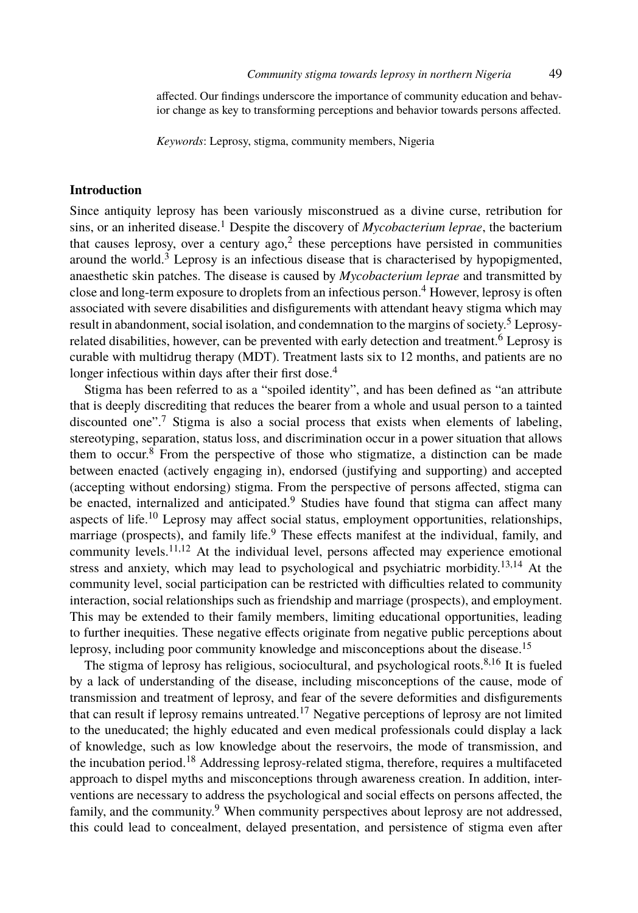affected. Our findings unde[rs](#page-12-0)core the importance of community education and behavi[or](#page-12-1) change as key to transforming perceptions and behavior towards persons affected.

*Keywords*: Leprosy, stigma, community members, Nige[ri](#page-12-2)a

## **Introduction**

Since antiquity leprosy has been variously misconstrued as a divine curse, retribution for sins, or an inherited disease.<sup>1</sup> Despite the discov[ery](#page-12-2) of *Mycobacterium leprae*, the bacterium that causes leprosy, over a century  $ago<sub>i</sub><sup>2</sup>$  these perceptions have persisted in communities around the world. $3$  Leprosy is an infectious disease that is characterised by hypopigmented, anaesthetic skin [pa](#page-12-3)tches. The disease is caused by *Mycobacterium leprae* and transmitted by close and long-term exposure to droplets from an infectious person.<sup>4</sup> However, leprosy is often associated wit[h s](#page-12-4)evere disabilities and disfigurements with attendant heavy stigma which may result in abandonment, social isolation, and condemnation to the margins of society.<sup>5</sup> Leprosyrelated disabilities, however, can be prevented with early detection and treatment.<sup>6</sup> Leprosy is curable with multidrug therapy (MDT). [Tre](#page-12-5)atment lasts six to 12 months, and patients are no longer infectio[us](#page-12-6) within days after their first dose.<sup>4</sup>

Stigma has been referred to as a "[sp](#page-12-5)oiled identity", and has been defined as "an attribute that is deeply disc[red](#page-12-7)[iti](#page-12-8)ng that reduces the bearer from a whole and usual person to a tainted discounted one".<sup>7</sup> Stigma is also a social process that exists when elements [of](#page-12-9) [la](#page-12-10)beling, stereotyping, separation, status loss, and discrimination occur in a power situation that allows them to occur.<sup>8</sup> From the perspective of those who stigmatize, a distinction can be made between enacted (actively engaging in), endorsed (justifying and supporting) and accepted (accepting without endorsing) stigma. From the perspective of persons affected, stigma can be ena[ct](#page-13-0)ed, internalized and anticipated.<sup>9</sup> Studies have found that stigma can affect many aspects of life.<sup>10</sup> Leprosy may affect social status, employment opportunitie[s,](#page-12-4) [re](#page-13-1)lationships, marriage (prospects), and family life.<sup>9</sup> These effects manifest at the individual, family, and community levels.<sup>11,12</sup> At the individual level, persons affected may experience emotional stress and anxiety, which may lead to ps[ych](#page-13-2)ological and psychiatric morbidity.13,14 At the community level, social participation can be restricted with difficulties related to community interaction, social relationships such as friendship and marriage (prospects), and employment. This may be extende[d t](#page-13-3)o their family members, limiting educational opportunities, leading to further inequities. These negative effects originate from negative public perceptions about leprosy, including poor community knowledge and misconceptions about the disease.<sup>15</sup>

The stigma of leprosy h[as](#page-12-5) religious, sociocultural, and psychological roots.<sup>8,16</sup> It is fueled by a lack of understanding of the disease, including misconceptions of the cause, mode of transmission and treatment of leprosy, and fear of the severe deformities and disfigurements that can result if leprosy remains untreated.<sup>17</sup> Negative perceptions of leprosy are not limited to the uneducated; the highly educated and even medical professionals could display a lack of knowledge, such as low knowledge about the reservoirs, the mode of transmission, and the incubation period.<sup>18</sup> Addressing leprosy-related stigma, therefore, requires a multifaceted approach to dispel myths and misconceptions through awareness creation. In addition, interventions are necessary to address the psychological and social effects on persons affected, the family, and the community.<sup>9</sup> When community perspectives about leprosy are not addressed, this could lead to concealment, delayed presentation, and persistence of stigma even after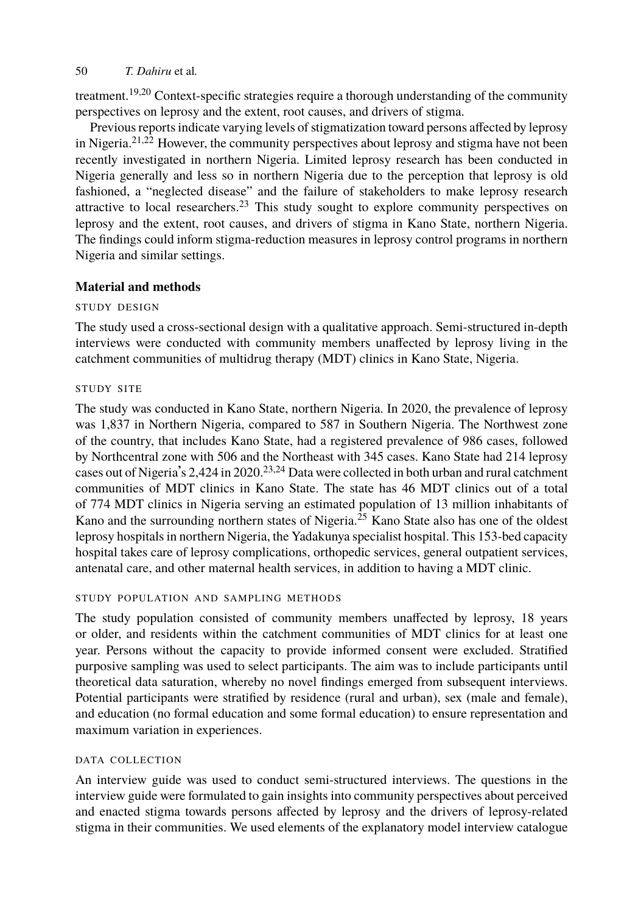treatment.<sup>19,20</sup> Context-specific strategies require a thorough understanding of the community perspectives on leprosy and the extent, root causes, and drivers of stigma.

Previous reports indicate varying levels of stigmatization toward persons affected by leprosy in Nigeria.21,22 However, the community perspectives about leprosy and stigma have not been recently investigated in northern Nigeria. Limited leprosy research has been conducted in Nigeria generally and less so in northern Nigeria due to the perception that leprosy is old fashioned, a "neglected disease" and the failure of stakeholders to make leprosy research attractive to local researchers.<sup>23</sup> This study sought to explore community perspectives on leprosy and the extent, root causes, and drivers of stigma in Kano State, northern Nigeria. The findings could inform stigma-reduction measures in leprosy control programs in northern Nigeria and similar settings.

#### **Material and methods**

## STUDY DESIGN

The study used a cross-sectional de[sig](#page-13-4)[n](#page-13-5) with a qualitative approach. Semi-structured in-depth interviews were conducted with community members unaffected by leprosy living in the catchment communities of multidrug therapy (MDT) clinics in Kano State, Nigeria.

## STUDY SITE

The study was conducted in Kano State, northern Nigeria. In 2020, the prevalence of leprosy was 1,837 in Northern Nigeria, compared to 587 in Southern Nigeria. The Northwest zone of the country, that includes Kano State, had a registered prevalence of 986 cases, followed by Northcentral zone with 506 and the Northeast with 345 cases. Kano State had 214 leprosy cases out of Nigeria's 2,424 in 2020.<sup>23,24</sup> Data were collected in both urban and rural catchment communities of MDT clinics in Kano State. The state has 46 MDT clinics out of a total of 774 MDT clinics in Nigeria serving an estimated population of 13 million inhabitants of Kano and the surrounding northern states of Nigeria.<sup>25</sup> Kano State also has one of the oldest leprosy hospitals in northern Nigeria, the Yadakunya specialist hospital. This 153-bed capacity hospital takes care of leprosy complications, orthopedic services, general outpatient services, antenatal care, and other maternal health services, in addition to having a MDT clinic.

#### STUDY POPULATION AND SAMPLING METHODS

The study population consisted of community members unaffected by leprosy, 18 years or older, and residents within the catchment communities of MDT clinics for at least one year. Persons without the capacity to provide informed consent were excluded. Stratified purposive sampling was used to select participants. The aim was to include participants until theoretical data saturation, whereby no novel findings emerged from subsequent interviews. Potential participants were stratified by residence (rural and urban), sex (male and female), and education (no formal education and some formal education) to ensure representation and maximum variation in experiences.

## DATA COLLECTION

An interview guide was used to conduct semi-structured interviews. The questions in the interview guide were formulated to gain insights into community perspectives about perceived and enacted stigma towards persons affected by leprosy and the drivers of leprosy-related stigma in their communities. We used elements of the explanatory model interview catalogue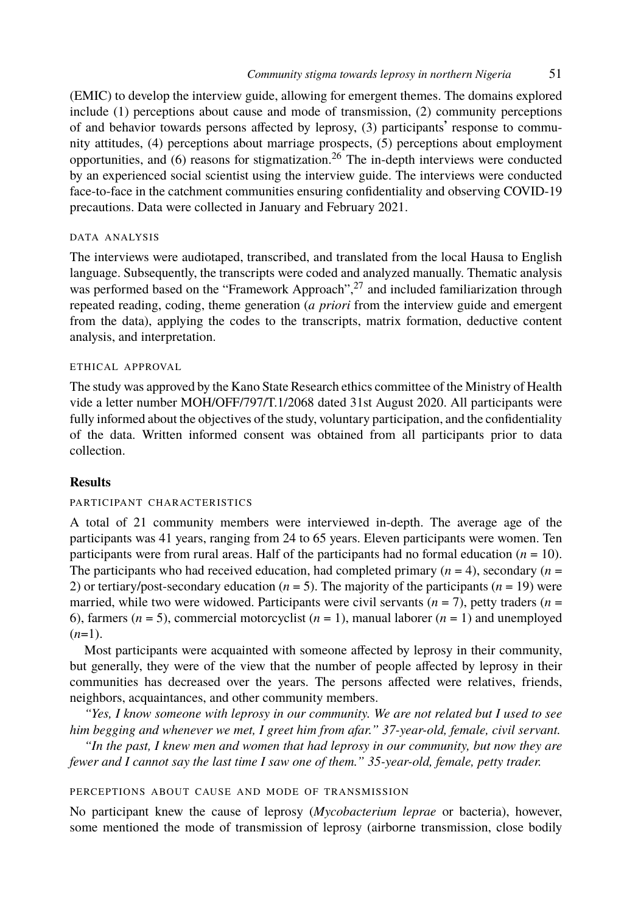(EMIC) to develop the interview guide, allowing for emergent themes. The domains explored include (1) perceptions about cause and mode of transmission, (2) community perceptions of and behavior towards persons affected by leprosy, (3) participants' response to community attitudes, (4) perceptions about marriage prosp[ect](#page-13-6)s, (5) perceptions about employment opportunities, and  $(6)$  reasons for stigmatization.<sup>26</sup> The in-depth interviews were conducted by an experienced social scientist using the interview guide. The interviews were conducted face-to-face in the catchment communities ensuring confidentiality and observing COVID-19 precautions. Data were collected in January and February 2021.

## DATA ANALYSIS

The interviews were audiotaped, transcribed, and translated from the local Hausa to English language. Subsequently, the transcripts were coded and analyzed manually. Thematic analysis was performed based on the "Framework Approach",<sup>27</sup> and included familiarization through repeated reading, coding, theme generation (*a priori* from the interview guide and emergent from the data), applying the codes to the transcripts, matrix formation, deductive content analysis, and interpretation.

## ETHICAL APPROVAL

The study was approved by the Kano State Research ethics committee of the Ministry of Health vide a letter number MOH/OFF/797/T.1/2068 dated 31st August 2020. All participants were fully informed about the objectives of the study, voluntary participation, and the confidentiality of the data. Written informed consent was obtained from all participants prior to data collection.

# **Results**

## PARTICIPANT CHARACTERISTICS

A total of 21 community members were interviewed in-depth. The average age of the participants was 41 years, ranging from 24 to 65 years. Eleven participants were women. Ten participants were from rural areas. Half of the participants had no formal education (*n* = 10). The participants who had received education, had completed primary  $(n = 4)$ , secondary  $(n = 1)$ 2) or tertiary/post-secondary education  $(n = 5)$ . The majority of the participants  $(n = 19)$  were married, while two were widowed. Participants were civil servants  $(n = 7)$ , petty traders  $(n = 7)$ 6), farmers  $(n = 5)$ , commercial motorcyclist  $(n = 1)$ , manual laborer  $(n = 1)$  and unemployed  $(n=1)$ .

Most participants were acquainted with someone affected by leprosy in their community, but generally, they were of the view that the number of people affected by leprosy in their communities has decreased over the years. The persons affected were relatives, friends, neighbors, acquaintances, and other community members.

*"Yes, I know someone with leprosy in our community. We are not related but I used to see him begging and whenever we met, I greet him from afar." 37-year-old, female, civil servant.*

*"In the past, I knew men and women that had leprosy in our community, but now they are fewer and I cannot say the last time I saw one of them." 35-year-old, female, petty trader.*

## PERCEPTIONS ABOUT CAUSE AND MODE OF TRANSMISSION

No participant knew the cause of leprosy (*Mycobacterium leprae* or bacteria), however, some mentioned the mode of transmission of leprosy (airborne transmission, close bodily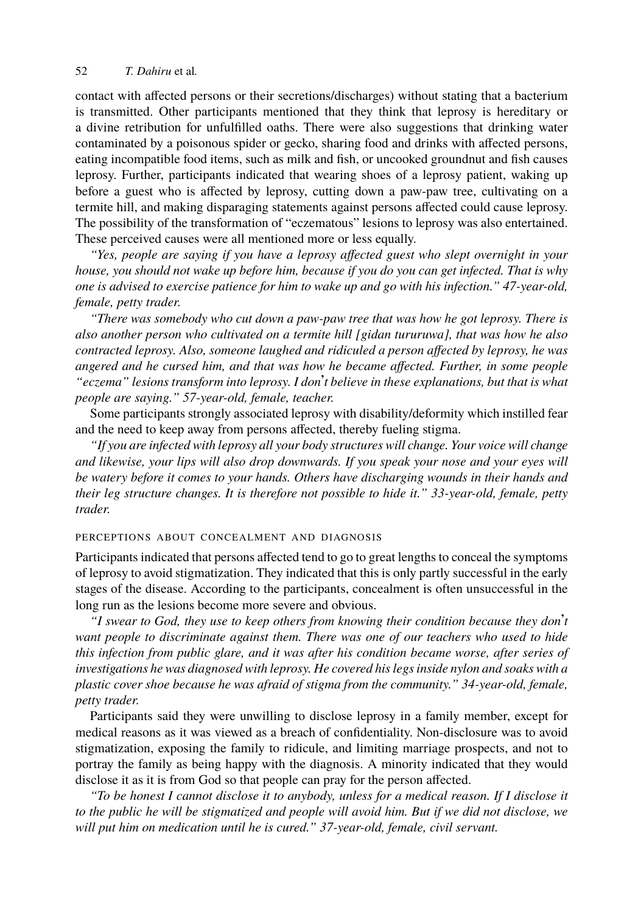contact with affected persons or their secretions/discharges) without stating that a bacterium is transmitted. Other participants mentioned that they think that leprosy is hereditary or a divine retribution for unfulfilled oaths. There were also suggestions that drinking water contaminated by a poisonous spider or gecko, sharing food and drinks with affected persons, eating incompatible food items, such as milk and fish, or uncooked groundnut and fish causes leprosy. Further, participants indicated that wearing shoes of a leprosy patient, waking up before a guest who is affected by leprosy, cutting down a paw-paw tree, cultivating on a termite hill, and making disparaging statements against persons affected could cause leprosy. The possibility of the transformation of "eczematous" lesions to leprosy was also entertained. These perceived causes were all mentioned more or less equally.

*"Yes, people are saying if you have a leprosy affected guest who slept overnight in your house, you should not wake up before him, because if you do you can get infected. That is why one is advised to exercise patience for him to wake up and go with his infection." 47-year-old, female, petty trader.*

*"There was somebody who cut down a paw-paw tree that was how he got leprosy. There is also another person who cultivated on a termite hill [gidan tururuwa], that was how he also contracted leprosy. Also, someone laughed and ridiculed a person affected by leprosy, he was angered and he cursed him, and that was how he became affected. Further, in some people "eczema" lesions transform into leprosy. I don*'*t believe in these explanations, but that is what people are saying." 57-year-old, female, teacher.*

Some participants strongly associated leprosy with disability/deformity which instilled fear and the need to keep away from persons affected, thereby fueling stigma.

*"If you are infected with leprosy all your body structures will change. Your voice will change and likewise, your lips will also drop downwards. If you speak your nose and your eyes will be watery before it comes to your hands. Others have discharging wounds in their hands and their leg structure changes. It is therefore not possible to hide it." 33-year-old, female, petty trader.*

# PERCEPTIONS ABOUT CONCEALMENT AND DIAGNOSIS

Participants indicated that persons affected tend to go to great lengths to conceal the symptoms of leprosy to avoid stigmatization. They indicated that this is only partly successful in the early stages of the disease. According to the participants, concealment is often unsuccessful in the long run as the lesions become more severe and obvious.

*"I swear to God, they use to keep others from knowing their condition because they don*'*t want people to discriminate against them. There was one of our teachers who used to hide this infection from public glare, and it was after his condition became worse, after series of investigations he was diagnosed with leprosy. He covered his legs inside nylon and soaks with a plastic cover shoe because he was afraid of stigma from the community." 34-year-old, female, petty trader.*

Participants said they were unwilling to disclose leprosy in a family member, except for medical reasons as it was viewed as a breach of confidentiality. Non-disclosure was to avoid stigmatization, exposing the family to ridicule, and limiting marriage prospects, and not to portray the family as being happy with the diagnosis. A minority indicated that they would disclose it as it is from God so that people can pray for the person affected.

*"To be honest I cannot disclose it to anybody, unless for a medical reason. If I disclose it to the public he will be stigmatized and people will avoid him. But if we did not disclose, we will put him on medication until he is cured." 37-year-old, female, civil servant.*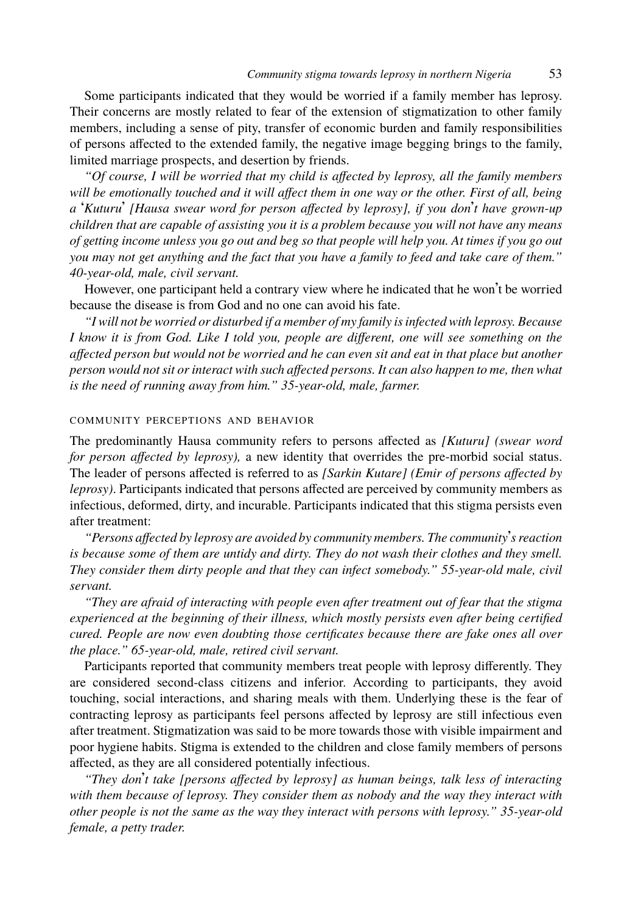Some participants indicated that they would be worried if a family member has leprosy. Their concerns are mostly related to fear of the extension of stigmatization to other family members, including a sense of pity, transfer of economic burden and family responsibilities of persons affected to the extended family, the negative image begging brings to the family, limited marriage prospects, and desertion by friends.

*"Of course, I will be worried that my child is affected by leprosy, all the family members will be emotionally touched and it will affect them in one way or the other. First of all, being a* '*Kuturu*' *[Hausa swear word for person affected by leprosy], if you don*'*t have grown-up children that are capable of assisting you it is a problem because you will not have any means of getting income unless you go out and beg so that people will help you. At times if you go out you may not get anything and the fact that you have a family to feed and take care of them." 40-year-old, male, civil servant.*

However, one participant held a contrary view where he indicated that he won't be worried because the disease is from God and no one can avoid his fate.

*"I will not be worried or disturbed if a member of my family is infected with leprosy. Because I know it is from God. Like I told you, people are different, one will see something on the affected person but would not be worried and he can even sit and eat in that place but another person would not sit or interact with such affected persons. It can also happen to me, then what is the need of running away from him." 35-year-old, male, farmer.*

#### COMMUNITY PERCEPTIONS AND BEHAVIOR

The predominantly Hausa community refers to persons affected as *[Kuturu] (swear word for person affected by leprosy),* a new identity that overrides the pre-morbid social status. The leader of persons affected is referred to as *[Sarkin Kutare] (Emir of persons affected by leprosy)*. Participants indicated that persons affected are perceived by community members as infectious, deformed, dirty, and incurable. Participants indicated that this stigma persists even after treatment:

*"Persons affected by leprosy are avoided by community members. The community*'*s reaction is because some of them are untidy and dirty. They do not wash their clothes and they smell. They consider them dirty people and that they can infect somebody." 55-year-old male, civil servant.*

*"They are afraid of interacting with people even after treatment out of fear that the stigma experienced at the beginning of their illness, which mostly persists even after being certified cured. People are now even doubting those certificates because there are fake ones all over the place." 65-year-old, male, retired civil servant.*

Participants reported that community members treat people with leprosy differently. They are considered second-class citizens and inferior. According to participants, they avoid touching, social interactions, and sharing meals with them. Underlying these is the fear of contracting leprosy as participants feel persons affected by leprosy are still infectious even after treatment. Stigmatization was said to be more towards those with visible impairment and poor hygiene habits. Stigma is extended to the children and close family members of persons affected, as they are all considered potentially infectious.

*"They don*'*t take [persons affected by leprosy] as human beings, talk less of interacting with them because of leprosy. They consider them as nobody and the way they interact with other people is not the same as the way they interact with persons with leprosy." 35-year-old female, a petty trader.*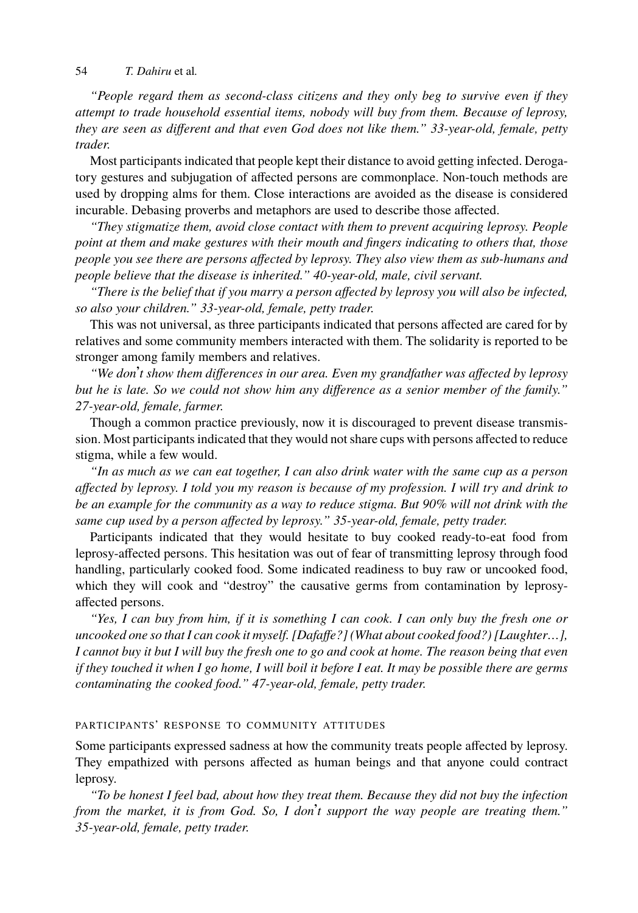*"People regard them as second-class citizens and they only beg to survive even if they attempt to trade household essential items, nobody will buy from them. Because of leprosy, they are seen as different and that even God does not like them." 33-year-old, female, petty trader.*

Most participants indicated that people kept their distance to avoid getting infected. Derogatory gestures and subjugation of affected persons are commonplace. Non-touch methods are used by dropping alms for them. Close interactions are avoided as the disease is considered incurable. Debasing proverbs and metaphors are used to describe those affected.

*"They stigmatize them, avoid close contact with them to prevent acquiring leprosy. People point at them and make gestures with their mouth and fingers indicating to others that, those people you see there are persons affected by leprosy. They also view them as sub-humans and people believe that the disease is inherited." 40-year-old, male, civil servant.*

*"There is the belief that if you marry a person affected by leprosy you will also be infected, so also your children." 33-year-old, female, petty trader.*

This was not universal, as three participants indicated that persons affected are cared for by relatives and some community members interacted with them. The solidarity is reported to be stronger among family members and relatives.

*"We don*'*t show them differences in our area. Even my grandfather was affected by leprosy but he is late. So we could not show him any difference as a senior member of the family." 27-year-old, female, farmer.*

Though a common practice previously, now it is discouraged to prevent disease transmission. Most participants indicated that they would not share cups with persons affected to reduce stigma, while a few would.

*"In as much as we can eat together, I can also drink water with the same cup as a person affected by leprosy. I told you my reason is because of my profession. I will try and drink to be an example for the community as a way to reduce stigma. But 90% will not drink with the same cup used by a person affected by leprosy." 35-year-old, female, petty trader.*

Participants indicated that they would hesitate to buy cooked ready-to-eat food from leprosy-affected persons. This hesitation was out of fear of transmitting leprosy through food handling, particularly cooked food. Some indicated readiness to buy raw or uncooked food, which they will cook and "destroy" the causative germs from contamination by leprosyaffected persons.

*"Yes, I can buy from him, if it is something I can cook. I can only buy the fresh one or uncooked one so that I can cook it myself. [Dafaffe?] (What about cooked food?) [Laughter…], I cannot buy it but I will buy the fresh one to go and cook at home. The reason being that even if they touched it when I go home, I will boil it before I eat. It may be possible there are germs contaminating the cooked food." 47-year-old, female, petty trader.*

#### PARTICIPANTS' RESPONSE TO COMMUNITY ATTITUDES

Some participants expressed sadness at how the community treats people affected by leprosy. They empathized with persons affected as human beings and that anyone could contract leprosy.

*"To be honest I feel bad, about how they treat them. Because they did not buy the infection from the market, it is from God. So, I don*'*t support the way people are treating them." 35-year-old, female, petty trader.*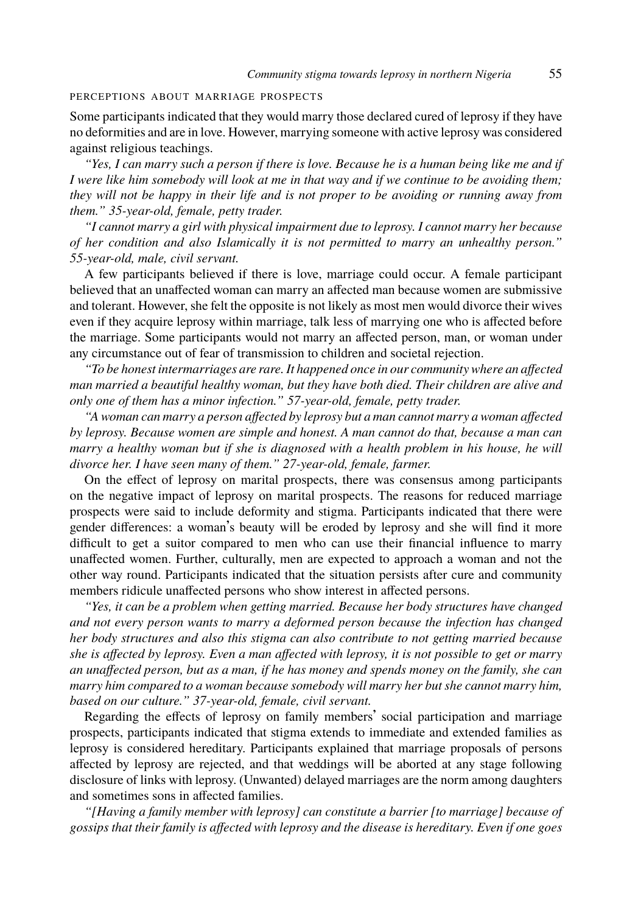## PERCEPTIONS ABOUT MARRIAGE PROSPECTS

Some participants indicated that they would marry those declared cured of leprosy if they have no deformities and are in love. However, marrying someone with active leprosy was considered against religious teachings.

*"Yes, I can marry such a person if there is love. Because he is a human being like me and if I were like him somebody will look at me in that way and if we continue to be avoiding them; they will not be happy in their life and is not proper to be avoiding or running away from them." 35-year-old, female, petty trader.*

*"I cannot marry a girl with physical impairment due to leprosy. I cannot marry her because of her condition and also Islamically it is not permitted to marry an unhealthy person." 55-year-old, male, civil servant.*

A few participants believed if there is love, marriage could occur. A female participant believed that an unaffected woman can marry an affected man because women are submissive and tolerant. However, she felt the opposite is not likely as most men would divorce their wives even if they acquire leprosy within marriage, talk less of marrying one who is affected before the marriage. Some participants would not marry an affected person, man, or woman under any circumstance out of fear of transmission to children and societal rejection.

*"To be honest intermarriages are rare. It happened once in our community where an affected man married a beautiful healthy woman, but they have both died. Their children are alive and only one of them has a minor infection." 57-year-old, female, petty trader.*

*"A woman can marry a person affected by leprosy but a man cannot marry a woman affected by leprosy. Because women are simple and honest. A man cannot do that, because a man can marry a healthy woman but if she is diagnosed with a health problem in his house, he will divorce her. I have seen many of them." 27-year-old, female, farmer.*

On the effect of leprosy on marital prospects, there was consensus among participants on the negative impact of leprosy on marital prospects. The reasons for reduced marriage prospects were said to include deformity and stigma. Participants indicated that there were gender differences: a woman's beauty will be eroded by leprosy and she will find it more difficult to get a suitor compared to men who can use their financial influence to marry unaffected women. Further, culturally, men are expected to approach a woman and not the other way round. Participants indicated that the situation persists after cure and community members ridicule unaffected persons who show interest in affected persons.

*"Yes, it can be a problem when getting married. Because her body structures have changed and not every person wants to marry a deformed person because the infection has changed her body structures and also this stigma can also contribute to not getting married because she is affected by leprosy. Even a man affected with leprosy, it is not possible to get or marry an unaffected person, but as a man, if he has money and spends money on the family, she can marry him compared to a woman because somebody will marry her but she cannot marry him, based on our culture." 37-year-old, female, civil servant.*

Regarding the effects of leprosy on family members' social participation and marriage prospects, participants indicated that stigma extends to immediate and extended families as leprosy is considered hereditary. Participants explained that marriage proposals of persons affected by leprosy are rejected, and that weddings will be aborted at any stage following disclosure of links with leprosy. (Unwanted) delayed marriages are the norm among daughters and sometimes sons in affected families.

*"[Having a family member with leprosy] can constitute a barrier [to marriage] because of gossips that their family is affected with leprosy and the disease is hereditary. Even if one goes*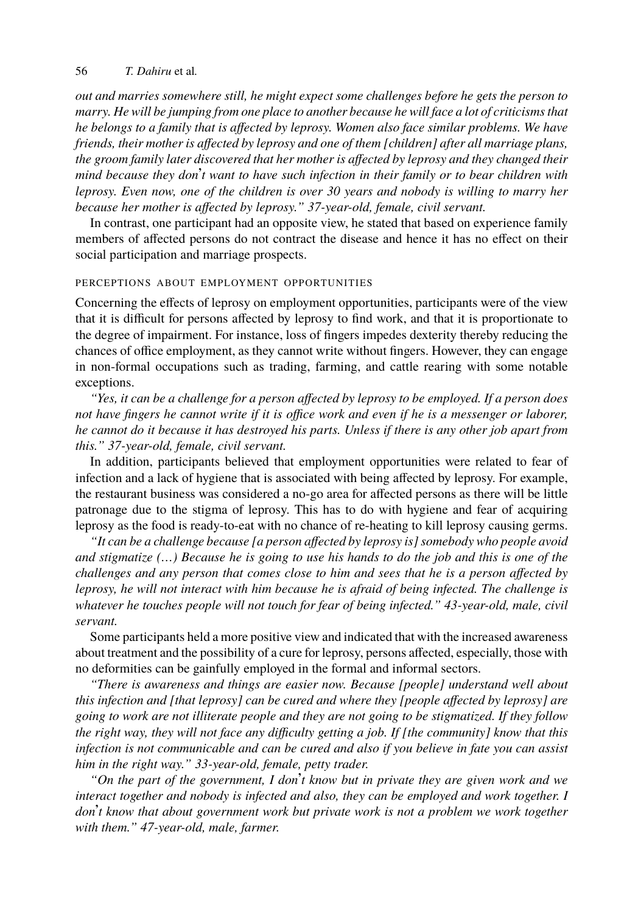*out and marries somewhere still, he might expect some challenges before he gets the person to marry. He will be jumping from one place to another because he will face a lot of criticisms that he belongs to a family that is affected by leprosy. Women also face similar problems. We have friends, their mother is affected by leprosy and one of them [children] after all marriage plans, the groom family later discovered that her mother is affected by leprosy and they changed their mind because they don*'*t want to have such infection in their family or to bear children with leprosy. Even now, one of the children is over 30 years and nobody is willing to marry her because her mother is affected by leprosy." 37-year-old, female, civil servant.*

In contrast, one participant had an opposite view, he stated that based on experience family members of affected persons do not contract the disease and hence it has no effect on their social participation and marriage prospects.

#### PERCEPTIONS ABOUT EMPLOYMENT OPPORTUNITIES

Concerning the effects of leprosy on employment opportunities, participants were of the view that it is difficult for persons affected by leprosy to find work, and that it is proportionate to the degree of impairment. For instance, loss of fingers impedes dexterity thereby reducing the chances of office employment, as they cannot write without fingers. However, they can engage in non-formal occupations such as trading, farming, and cattle rearing with some notable exceptions.

*"Yes, it can be a challenge for a person affected by leprosy to be employed. If a person does not have fingers he cannot write if it is office work and even if he is a messenger or laborer, he cannot do it because it has destroyed his parts. Unless if there is any other job apart from this." 37-year-old, female, civil servant.*

In addition, participants believed that employment opportunities were related to fear of infection and a lack of hygiene that is associated with being affected by leprosy. For example, the restaurant business was considered a no-go area for affected persons as there will be little patronage due to the stigma of leprosy. This has to do with hygiene and fear of acquiring leprosy as the food is ready-to-eat with no chance of re-heating to kill leprosy causing germs.

*"It can be a challenge because [a person affected by leprosy is] somebody who people avoid and stigmatize (…) Because he is going to use his hands to do the job and this is one of the challenges and any person that comes close to him and sees that he is a person affected by leprosy, he will not interact with him because he is afraid of being infected. The challenge is whatever he touches people will not touch for fear of being infected." 43-year-old, male, civil servant.*

Some participants held a more positive view and indicated that with the increased awareness about treatment and the possibility of a cure for leprosy, persons affected, especially, those with no deformities can be gainfully employed in the formal and informal sectors.

*"There is awareness and things are easier now. Because [people] understand well about this infection and [that leprosy] can be cured and where they [people affected by leprosy] are going to work are not illiterate people and they are not going to be stigmatized. If they follow the right way, they will not face any difficulty getting a job. If [the community] know that this infection is not communicable and can be cured and also if you believe in fate you can assist him in the right way." 33-year-old, female, petty trader.*

*"On the part of the government, I don*'*t know but in private they are given work and we interact together and nobody is infected and also, they can be employed and work together. I don*'*t know that about government work but private work is not a problem we work together with them." 47-year-old, male, farmer.*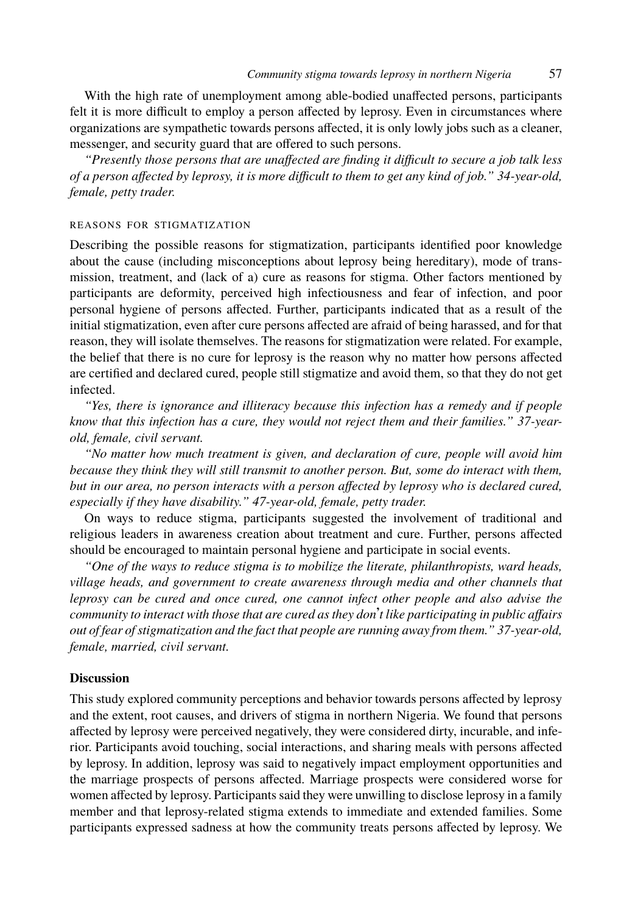With the high rate of unemployment among able-bodied unaffected persons, participants felt it is more difficult to employ a person affected by leprosy. Even in circumstances where organizations are sympathetic towards persons affected, it is only lowly jobs such as a cleaner, messenger, and security guard that are offered to such persons.

*"Presently those persons that are unaffected are finding it difficult to secure a job talk less of a person affected by leprosy, it is more difficult to them to get any kind of job." 34-year-old, female, petty trader.*

#### REASONS FOR STIGMATIZATION

Describing the possible reasons for stigmatization, participants identified poor knowledge about the cause (including misconceptions about leprosy being hereditary), mode of transmission, treatment, and (lack of a) cure as reasons for stigma. Other factors mentioned by participants are deformity, perceived high infectiousness and fear of infection, and poor personal hygiene of persons affected. Further, participants indicated that as a result of the initial stigmatization, even after cure persons affected are afraid of being harassed, and for that reason, they will isolate themselves. The reasons for stigmatization were related. For example, the belief that there is no cure for leprosy is the reason why no matter how persons affected are certified and declared cured, people still stigmatize and avoid them, so that they do not get infected.

*"Yes, there is ignorance and illiteracy because this infection has a remedy and if people know that this infection has a cure, they would not reject them and their families." 37-yearold, female, civil servant.*

*"No matter how much treatment is given, and declaration of cure, people will avoid him because they think they will still transmit to another person. But, some do interact with them, but in our area, no person interacts with a person affected by leprosy who is declared cured, especially if they have disability." 47-year-old, female, petty trader.*

On ways to reduce stigma, participants suggested the involvement of traditional and religious leaders in awareness creation about treatment and cure. Further, persons affected should be encouraged to maintain personal hygiene and participate in social events.

*"One of the ways to reduce stigma is to mobilize the literate, philanthropists, ward heads, village heads, and government to create awareness through media and other channels that leprosy can be cured and once cured, one cannot infect other people and also advise the community to interact with those that are cured as they don*'*t like participating in public affairs out of fear of stigmatization and the fact that people are running away from them." 37-year-old, female, married, civil servant.*

## **Discussion**

This study explored community perceptions and behavior towards persons affected by leprosy and the extent, root causes, and drivers of stigma in northern Nigeria. We found that persons affected by leprosy were perceived negatively, they were considered dirty, incurable, and inferior. Participants avoid touching, social interactions, and sharing meals with persons affected by leprosy. In addition, leprosy was said to negatively impact employment opportunities and the marriage prospects of persons affected. Marriage prospects were considered worse for women affected by leprosy. Participants said they were unwilling to disclose leprosy in a family member and that leprosy-related stigma extends to immediate and extended families. Some participants expressed sadness at how the community treats persons affected by leprosy. We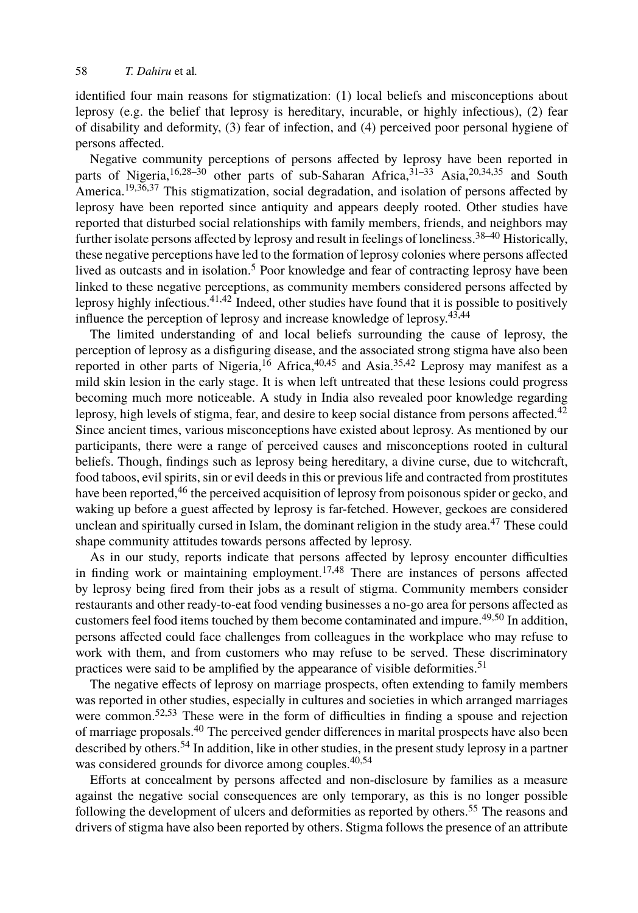identified four main reasons for stigmatization: (1) local beliefs and mis[con](#page-13-7)[ce](#page-13-8)ptions about leprosy (e.g. the belief that leprosy is hereditary, incurable, or highly infectious), (2) fear of disability and deformity, (3) f[ea](#page-12-11)r of infection, and (4) perceived poor personal hygiene of persons affected.

Negative community [pe](#page-14-0)[rce](#page-14-1)ptions of persons affected by leprosy have been reported in parts of Nigeria,<sup>16,28–30</sup> other parts of sub-Saharan Africa,<sup>31–33</sup> [Asi](#page-14-2)[a,](#page-14-3)<sup>20,34,35</sup> and South America.<sup>19,36,37</sup> This stigmatization, social degradation, and isolation of persons affected by leprosy have been reported since antiquity and appears deeply rooted. Other studies have reported that disturbed social relati[on](#page-13-1)ships w[ith](#page-13-8) [fa](#page-14-4)mily me[mbe](#page-13-9)[rs](#page-14-1), friends, and neighbors may further isolate persons affected by leprosy and result in feelings of loneliness.<sup>38–40</sup> Historically, these negative perceptions have led to the formation of leprosy colonies where persons affected lived as outcasts and in isolation.<sup>5</sup> Poor knowledge and fear of contracting leprosy have be[en](#page-14-1) linked to these negative perceptions, as community members considered persons affected by leprosy highly infectious.<sup>41,42</sup> Indeed, other studies have found that it is possible to positively influence the perception of leprosy and increase knowledge of leprosy.<sup>43,44</sup>

The limited understanding of and local beliefs surrounding the cause of leprosy, the perception of lepro[sy](#page-14-5) as a disfiguring disease, and the associated strong stigma have also been reported in other parts of Nigeria,<sup>16</sup> Africa,<sup>40,45</sup> and Asia.<sup>35,42</sup> Leprosy may manifest as a mild skin lesion in the early stage. It is when left untreated that these lesions [co](#page-14-6)uld progress becoming much more noticeable. A study in India also revealed poor knowledge regarding leprosy, high levels of stigma, fear, and desire to keep social distance from persons affected.<sup>42</sup> Since ancient times, various misconceptions h[av](#page-13-2)[e e](#page-14-7)xisted about leprosy. As mentioned by our participants, there were a range of perceived causes and misconceptions rooted in cultural beliefs. Though, findings such as leprosy being hereditary, a divine curse, due to witchcraft, food taboos, evil spirits, sin or evil deeds in this or previous life and contracte[d fr](#page-14-8)[om](#page-14-9) prostitutes have been reported,<sup>46</sup> the perceived acquisition of leprosy from poisonous spider or gecko, and waking up before a guest affected by leprosy is far-fetched. However, geckoes are considered unclean and spiritually cursed in Islam, the dominant religion in the study ar[ea.](#page-14-10)<sup>47</sup> These could shape community attitudes towards persons affected by leprosy.

As in our study, reports indicate that persons affected by leprosy encounter difficulties in finding wo[rk](#page-14-11) [or](#page-14-12) maintaining employment.<sup>17,48</sup> There are instances of persons affected by leprosy being fire[d fr](#page-13-8)om their jobs as a result of stigma. Community members consider restaurants and oth[er r](#page-14-13)eady-to-eat food vending businesses a no-go area for persons affected as customers feel food items touched by them be[co](#page-13-8)me co[nta](#page-14-13)minated and impure.<sup>49,50</sup> In addition, persons affected could face challenges from colleagues in the workplace who may refuse to work with them, and from customers who may refuse to be served. These discriminatory practices were said to be amplified by the appearance of visible deformiti[es.](#page-14-14)<sup>51</sup>

The negative effects of leprosy on marriage prospects, often extending to family members was reported in other studies, especially in cultures and societies in which arranged marriages were common.<sup>52,53</sup> These were in the form of difficulties in finding a spouse and rejection of marriage proposals.<sup>40</sup> The perceived gender differences in marital prospects have also been described by others.<sup>54</sup> In addition, like in other studies, in the present study leprosy in a partner was considered grounds for divorce among couples.<sup>40,54</sup>

Efforts at concealment by persons affected and non-disclosure by families as a measure against the negative social consequences are only temporary, as this is no longer possible following the development of ulcers and deformities as reported by others.<sup>55</sup> The reasons and drivers of stigma have also been reported by others. Stigma follows the presence of an attribute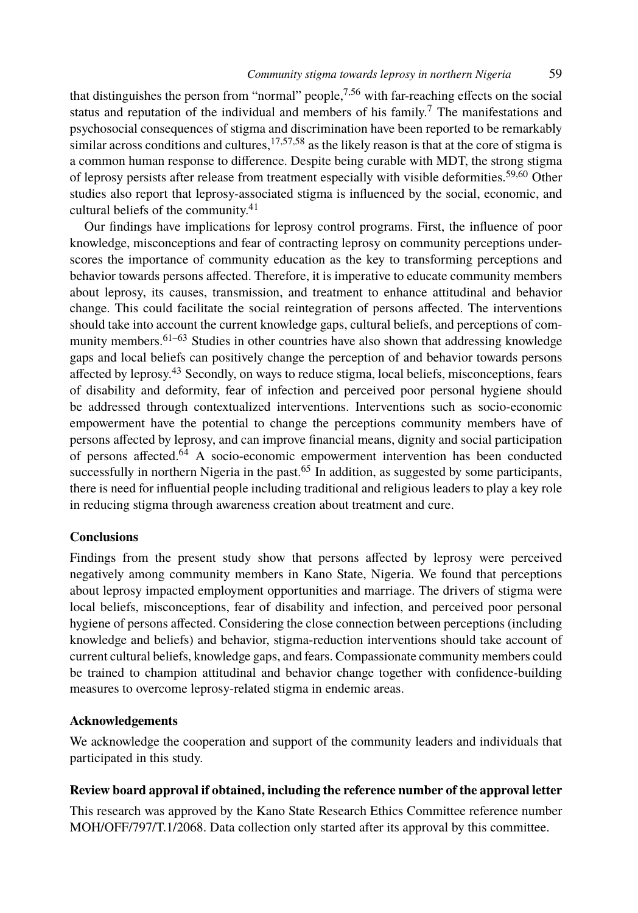that distinguishes the person from "normal" people,<sup>7,56</sup> with far-reaching effects on the social status and reputation of the individual and members of his family.<sup>7</sup> The manifestations and psychosocial consequences of stigma and discrimination have been reported to be remarkably similar across conditions and cultures, $17,57,58$  as the likely reason is that at the core of stigma is a common human response to difference. Despite being curable with MDT, the strong stigma of leprosy persists after release from treatment especially with visible deformities.59,60 Other studies also repo[rt t](#page-14-15)[ha](#page-14-16)t leprosy-associated stigma is influenced by the social, economic, and cultural beliefs of the community.<sup>41</sup>

Our findings ha[ve](#page-14-2) implications for leprosy control programs. First, the influence of poor knowledge, misconceptions and fear of contracting leprosy on community perceptions underscores the importance of community education as the key to transforming perceptions and behavior towards persons affected. Therefore, it is imperative to educate community members about leprosy, its causes, transmission, and treatment to enhance attitudinal and behavior change. This could [fac](#page-14-17)ilitate the social reintegration of persons affected. The interventions should take into account the current knowle[dge](#page-14-18) gaps, cultural beliefs, and perceptions of community members.  $61-63$  Studies in other countries have also shown that addressing knowledge gaps and local beliefs can positively change the perception of and behavior towards persons affected by leprosy.<sup>43</sup> Secondly, on ways to reduce stigma, local beliefs, misconceptions, fears of disability and deformity, fear of infection and perceived poor personal hygiene should be addressed through contextualized interventions. Interventions such as socio-economic empowerment have the potential to change the perceptions community members have of persons affected by leprosy, and can improve financial means, dignity and social participation of persons affected.<sup>64</sup> A socio-economic empowerment intervention has been conducted successfully in northern Nigeria in the past.<sup>65</sup> In addition, as suggested by some participants, there is need for influential people including traditional and religious leaders to play a key role in reducing stigma through awareness creation about treatment and cure.

## **Conclusions**

Findings from the present study show that persons affected by leprosy were perceived negatively among community members in Kano State, Nigeria. We found that perceptions about leprosy impacted employment opportunities and marriage. The drivers of stigma were local beliefs, misconceptions, fear of disability and infection, and perceived poor personal hygiene of persons affected. Considering the close connection between perceptions (including knowledge and beliefs) and behavior, stigma-reduction interventions should take account of current cultural beliefs, knowledge gaps, and fears. Compassionate community members could be trained to champion attitudinal and behavior change together with confidence-building measures to overcome leprosy-related stigma in endemic areas.

## **Acknowledgements**

We acknowledge the cooperation and support of the community leaders and individuals that participated in this study.

## **Review board approval if obtained, including the reference number of the approval letter**

This research was approved by the Kano State Research Ethics Committee reference number MOH/OFF/797/T.1/2068. Data collection only started after its approval by this committee.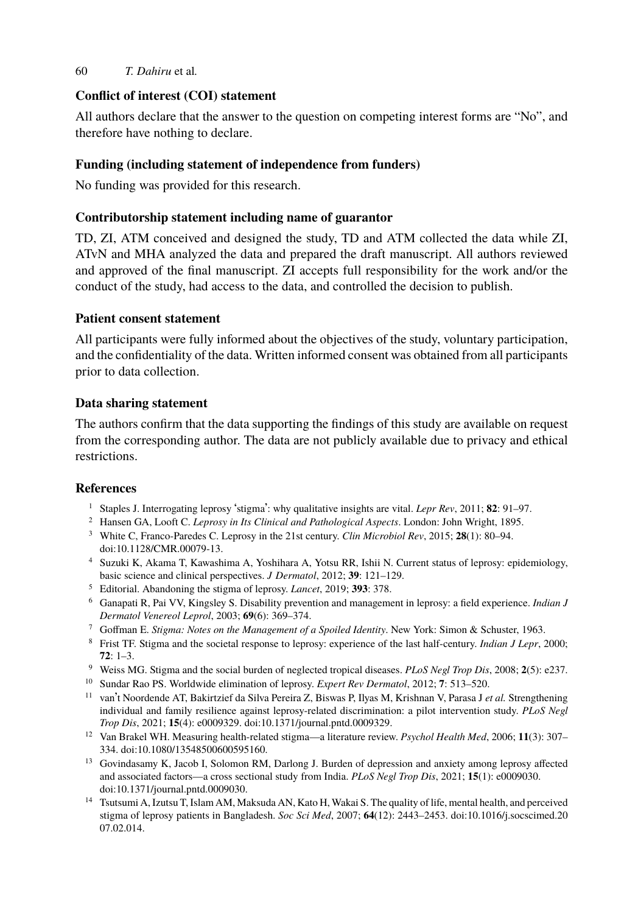# **Conflict of interest (COI) statement**

All authors declare that the answer to the question on competing interest forms are "No", and therefore have nothing to declare.

# **Funding (including statement of independence from funders)**

No funding was provided for this research.

## **Contributorship statement including name of guarantor**

TD, ZI, ATM conceived and designed the study, TD and ATM collected the data while ZI, ATvN and MHA analyzed the data and prepared the draft manuscript. All authors reviewed and approved of the final manuscript. ZI accepts full responsibility for the work and/or the conduct of the study, had access to the data, and controlled the decision to publish.

## **Patient consent statement**

All participants were fully informed about the objectives of the study, voluntary participation, and the confidentiality of the data. Written informed consent was obtained from all participants prior to data collection.

### <span id="page-12-1"></span><span id="page-12-0"></span>**Data s[haring statement](https://doi.org/10.1128/CMR.00079-13)**

<span id="page-12-11"></span><span id="page-12-2"></span>The authors confirm that the data supporting the findings of this study are available on request from the corresponding author. The data are not publicly available due to privacy and ethical restrictions.

## <span id="page-12-4"></span><span id="page-12-3"></span>**References**

- <sup>1</sup> Staples J. Interrogating leprosy 'stigma': why qualitative insights are vital. *Lepr Rev*, 2011; **82**: 91–97.
- <span id="page-12-5"></span><sup>2</sup> Hansen GA, Looft C. *Leprosy in Its Clinical and Pathological Aspects*. London: John Wright, 1895.
- <span id="page-12-6"></span><sup>3</sup> White C, Franco-Paredes C. Leprosy in the 21st century. *Clin Microbiol Rev*, 2015; **28**(1): 80–94. doi:10.1128/CMR.00079-13.
- <span id="page-12-7"></span><sup>4</sup> Suzuki K, Akama T, Kawashima A, Yoshihara A, Yotsu RR, Ishii N. Current status of leprosy: epidemiology, basic science and clinical perspective[s.](https://doi.org/10.1371/journal.pntd.0009329) *[J Dermatol](https://doi.org/10.1371/journal.pntd.0009329)*[, 2012;](https://doi.org/10.1371/journal.pntd.0009329) **[39](https://doi.org/10.1371/journal.pntd.0009329)**[: 121–1](https://doi.org/10.1371/journal.pntd.0009329)29.
- <span id="page-12-8"></span><sup>5</sup> Editorial. Abandoning the stigma of leprosy. *Lancet*, 201[9;](https://doi.org/10.1371/journal.pntd.0009329) **393**: 378.
- <sup>6</sup> Ganapat[i R, Pai VV, Kingsley S. Disabi](https://doi.org/10.1080/13548500600595160)lity prevention and management in leprosy: a field experience. *Indian J Dermatol Venereol Leprol*, 2003; **69**(6): 369–374.
- <span id="page-12-9"></span><sup>7</sup> Goffman E. *Stigma: Notes on the Management of a Spoiled Identity*. New York: Simon & Schuster, 1963.
- <sup>8</sup> Fri[st TF. Stigma and the societal r](https://doi.org/10.1371/journal.pntd.0009030)esponse to leprosy: experience of the last half-century. *Indian J Lepr*, 2000; **72**: 1–3.
- <span id="page-12-10"></span><sup>9</sup> Weiss MG. Stigma and the social burden of neglected tropical diseases. *PLoS Negl Tro[p Dis](https://doi.org/10.1016/j.socscimed.2007.02.014)*[, 2008;](https://doi.org/10.1016/j.socscimed.2007.02.014) **[2](https://doi.org/10.1016/j.socscimed.2007.02.014)**[\(5\): e237.](https://doi.org/10.1016/j.socscimed.2007.02.014)
- <sup>10</sup> [Sundar Ra](https://doi.org/10.1016/j.socscimed.2007.02.014)o PS. Worldwide elimination of leprosy. *Expert Rev Dermatol*, 2012; **7**: 513–520.
- <sup>11</sup> van't Noordende AT, Bakirtzief da Silva Pereira Z, Biswas P, Ilyas M, Krishnan V, Parasa J *et al.* Strengthening individual and family resilience against leprosy-related discrimination: a pilot intervention study. *PLoS Negl Trop Dis*, 2021; **15**(4): e0009329. doi:10.1371/journal.pntd.0009329.
- <sup>12</sup> Van Brakel WH. Measuring health-related stigma—a literature review. *Psychol Health Med*, 2006; **11**(3): 307– 334. doi:10.1080/13548500600595160.
- <sup>13</sup> Govindasamy K, Jacob I, Solomon RM, Darlong J. Burden of depression and anxiety among leprosy affected and associated factors—a cross sectional study from India. *PLoS Negl Trop Dis*, 2021; **15**(1): e0009030. doi:10.1371/journal.pntd.0009030.
- <sup>14</sup> Tsutsumi A, Izutsu T, Islam AM, Maksuda AN, Kato H, Wakai S. The quality of life, mental health, and perceived stigma of leprosy patients in Bangladesh. *Soc Sci Med*, 2007; **64**(12): 2443–2453. doi:10.1016/j.socscimed.20 07.02.014.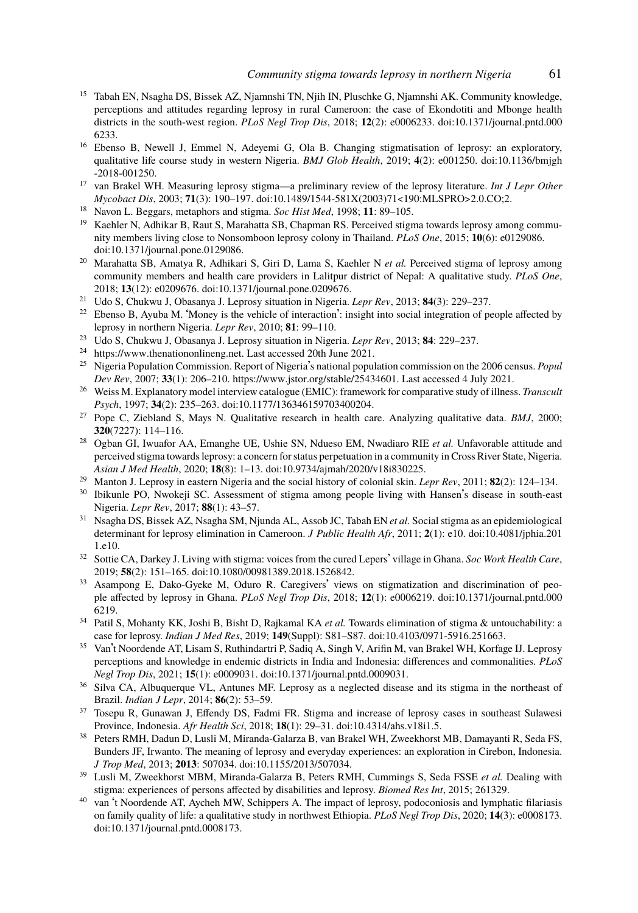- <span id="page-13-3"></span><span id="page-13-2"></span><span id="page-13-1"></span><span id="page-13-0"></span><sup>15</sup> Tabah EN, Nsagha DS, Bissek AZ, Njamnshi TN, Njih IN, Pluschke G, Njamnshi AK. Community knowledge, per[ceptions and attitudes regardin](https://doi.org/10.1371/journal.pone.0129086)g leprosy in rural Cameroon: the case of Ekondotiti and Mbonge health districts in the south-west region. *PLoS Negl Trop Dis*, 2018; **12**(2): e0006233. doi:10.1371/journal.pntd.000 6233.
- <sup>16</sup> Ebenso B, Newell J, Emm[el N, Adeyemi G, Ola B. Cha](https://doi.org/10.1371/journal.pone.0209676)nging stigmatisation of leprosy: an exploratory, qualitative life course study in western Nigeria. *BMJ Glob Health*, 2019; **4**(2): e001250. doi:10.1136/bmjgh -2018-001250.
- <span id="page-13-4"></span><sup>17</sup> van Brakel WH. Measuring leprosy stigma—a preliminary review of the leprosy literature. *Int J Lepr Other Mycobact Dis*, 2003; **71**(3): 190–197. doi:10.1489/1544-581X(2003)71<190:MLSPRO>2.0.CO;2.
- <span id="page-13-5"></span><sup>18</sup> [Navon L. Beggars, metaphors and s](https://www.thenationonlineng.net)tigma. *Soc Hist Med*, 1998; **11**: 89–105.
- Kaehler N, Adhikar B, Raut S, Marahatta SB, Chapman RS. Perceived stigma towards leprosy among community members living close to No[nsomboon leprosy colony in Thailand.](https://www.jstor.org/stable/25434601) *PLoS One*, 2015; **10**(6): e0129086. doi:10.1371/journal.pone.0129086.
- <span id="page-13-6"></span><sup>20</sup> Marahatta SB, Amatya R, Adhik[ari S, Giri D, Lama S, Kaehler](https://doi.org/10.1177/136346159703400204) N *et al.* Perceived stigma of leprosy among community members and health care providers in Lalitpur district of Nepal: A qualitative study. *PLoS One*, 2018; **13**(12): e0209676. doi:10.1371/journal.pone.0209676.
- <sup>21</sup> Udo S, Chukwu J, Obasanya J. Leprosy situation in Nigeria. *Lepr Rev*, 2013; **84**(3): 229–237.
- $22$  Ebenso B, Ayuba M. 'Money is the vehicle of interaction': insight into social integration of people affected by leprosy in northern Nigeria. *Lepr Rev*, 2010; **[81](https://doi.org/10.9734/ajmah/2020/v18i830225)**[: 99–110.](https://doi.org/10.9734/ajmah/2020/v18i830225)
- <sup>23</sup> Udo S, Chukwu J, Obasanya J. Leprosy situation in Nigeria. *Lepr Rev*, 2013; **84**: 229–237.
- <sup>24</sup> https://www.thenationonlineng.net. Last accessed 20th June 2021.<br><sup>25</sup> Nigeria Population Commission, Report of Nigeria's national population
- <sup>25</sup> Nigeria Population Commission. Report of Nigeria's national population commission on the 2006 census. *Popul Dev Rev*, 2007; **33**(1): 206–210. https://www.jstor.org/stable/25434601. Last accessed 4 July 2021.
- <sup>26</sup> Weiss M. Explanatory model interview catalogue (EMIC): framework for comparative study [of illness.](https://doi.org/10.4081/jphia.2011.e10) *[Transcult](https://doi.org/10.4081/jphia.2011.e10) [Psych](https://doi.org/10.4081/jphia.2011.e10)*, 1997; **34**(2): 235–263. doi:10.1177/136346159703400204.
- <sup>27</sup> Pope C, Ziebland S, May[s N. Qualitative research in heal](https://doi.org/10.1080/00981389.2018.1526842)th care. Analyzing qualitative data. *BMJ*, 2000; **320**(7227): 114–116.
- <sup>28</sup> Ogban GI, Iwuafor AA, Emanghe UE, Ushie SN, Ndueso EM, Nwadiaro RIE *et al.* Unfavorable attitude and perceived stigma towards leprosy: a concern for status perpetuation in a community in [Cross River State, Nigeria.](https://doi.org/10.1371/journal.pntd.0006219) *[Asian](https://doi.org/10.1371/journal.pntd.0006219) J Med Health*, 2020; **18**(8): 1–13. doi:10.9734/ajmah/2020/v18i830225.
- <sup>29</sup> Manton J. Leprosy in eastern Nigeria and the social history of colonial skin. *Lepr Rev*, 2011; **82**(2): 124–134.
- <span id="page-13-9"></span><sup>30</sup> Ibikunle PO, Nwokeji SC. Assessment of stigma among people li[ving with Hansen](https://doi.org/10.4103/0971-5916.251663)'[s disease](https://doi.org/10.4103/0971-5916.251663) in south-east Nigeria. *Lepr Rev*, 2017; **88**(1): 43–57.
- <sup>31</sup> Nsagha DS, Bissek AZ, Nsagha SM, Njunda AL, Assob JC, Tabah EN *et al.* Social stigma as an epidemiological determinant for leprosy elimination in Ca[meroon.](https://doi.org/10.1371/journal.pntd.0009031) *[J Public Health Afr](https://doi.org/10.1371/journal.pntd.0009031)*[, 20](https://doi.org/10.1371/journal.pntd.0009031)11; **2**(1): e10. doi:10.4081/jphia.201 1.e10.
- <sup>32</sup> Sottie CA, Darkey J. Living with stigma: voices from the cured Lepers' village in Ghana. *Soc Work Health Care*, 2019; **58**(2): 151–165. doi:10.1080/00981389.2018.1526842.
- <span id="page-13-7"></span><sup>33</sup> Asampong E, Dako-Gyeke M, Oduro R. Caregivers' vie[ws on stigmatization](https://doi.org/10.4314/ahs.v18i1.5) and discrimination of people affected by leprosy in Ghana. *PLoS Negl Trop Dis*, 2018; **12**(1): e0006219. doi:10.1371/journal.pntd.000 6219.
- <sup>34</sup> Patil S, Mohanty KK, Joshi B, Bisht [D, Rajkamal KA](https://doi.org/10.1155/2013/507034) *[et al.](https://doi.org/10.1155/2013/507034)* Towards elimination of stigma & untouchability: a case for leprosy. *Indian J Med Res*, 2019; **149**(Suppl): S81–S87. doi:10.4103/0971-5916.251663.
- <span id="page-13-8"></span><sup>35</sup> Van't Noordende AT, Lisam S, Ruthindartri P, Sadiq A, Singh V, Arifin M, van Brakel WH, Korfage IJ. Leprosy perceptions and knowledge in endemic districts in India and Indonesia: differences and commonalities. *PLoS Negl Trop Dis*, 2021; **15**(1): e0009031. doi:10.1371/journal.pntd.0009031.
- <sup>36</sup> Sil[va CA, Albuquerque VL, Antu](https://doi.org/10.1371/journal.pntd.0008173)nes MF. Leprosy as a neglected disease and its stigma in the northeast of Brazil. *Indian J Lepr*, 2014; **86**(2): 53–59.
- <sup>37</sup> Tosepu R, Gunawan J, Effendy DS, Fadmi FR. Stigma and increase of leprosy cases in southeast Sulawesi Province, Indonesia. *Afr Health Sci*, 2018; **18**(1): 29–31. doi:10.4314/ahs.v18i1.5.
- <sup>38</sup> Peters RMH, Dadun D, Lusli M, Miranda-Galarza B, van Brakel WH, Zweekhorst MB, Damayanti R, Seda FS, Bunders JF, Irwanto. The meaning of leprosy and everyday experiences: an exploration in Cirebon, Indonesia. *J Trop Med*, 2013; **2013**: 507034. doi:10.1155/2013/507034.
- <sup>39</sup> Lusli M, Zweekhorst MBM, Miranda-Galarza B, Peters RMH, Cummings S, Seda FSSE *et al.* Dealing with stigma: experiences of persons affected by disabilities and leprosy. *Biomed Res Int*, 2015; 261329.
- van 't Noordende AT, Aycheh MW, Schippers A. The impact of leprosy, podoconiosis and lymphatic filariasis on family quality of life: a qualitative study in northwest Ethiopia. *PLoS Negl Trop Dis*, 2020; **14**(3): e0008173. doi:10.1371/journal.pntd.0008173.